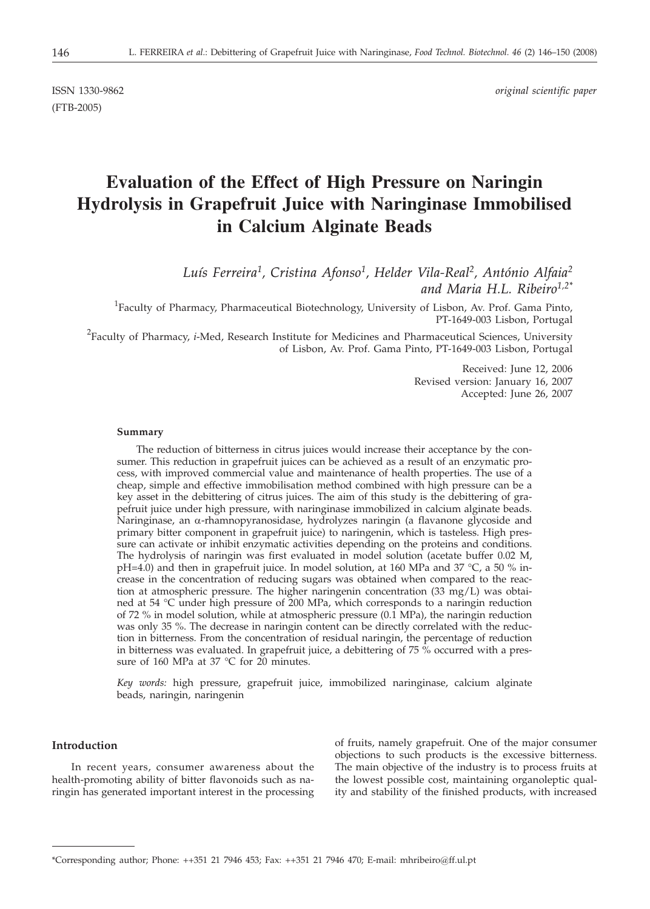ISSN 1330-9862 *original scientific paper*

(FTB-2005)

# **Evaluation of the Effect of High Pressure on Naringin Hydrolysis in Grapefruit Juice with Naringinase Immobilised in Calcium Alginate Beads**

*Luís Ferreira1, Cristina Afonso1, Helder Vila-Real2, António Alfaia2 and Maria H.L. Ribeiro1,2\**

<sup>1</sup>Faculty of Pharmacy, Pharmaceutical Biotechnology, University of Lisbon, Av. Prof. Gama Pinto, PT-1649-003 Lisbon, Portugal

2 Faculty of Pharmacy, *i*-Med, Research Institute for Medicines and Pharmaceutical Sciences, University of Lisbon, Av. Prof. Gama Pinto, PT-1649-003 Lisbon, Portugal

> Received: June 12, 2006 Revised version: January 16, 2007 Accepted: June 26, 2007

#### **Summary**

The reduction of bitterness in citrus juices would increase their acceptance by the consumer. This reduction in grapefruit juices can be achieved as a result of an enzymatic process, with improved commercial value and maintenance of health properties. The use of a cheap, simple and effective immobilisation method combined with high pressure can be a key asset in the debittering of citrus juices. The aim of this study is the debittering of grapefruit juice under high pressure, with naringinase immobilized in calcium alginate beads. Naringinase, an a-rhamnopyranosidase, hydrolyzes naringin (a flavanone glycoside and primary bitter component in grapefruit juice) to naringenin, which is tasteless. High pressure can activate or inhibit enzymatic activities depending on the proteins and conditions. The hydrolysis of naringin was first evaluated in model solution (acetate buffer 0.02 M, pH=4.0) and then in grapefruit juice. In model solution, at 160 MPa and 37 °C, a 50 % increase in the concentration of reducing sugars was obtained when compared to the reaction at atmospheric pressure. The higher naringenin concentration (33 mg/L) was obtained at 54 °C under high pressure of 200 MPa, which corresponds to a naringin reduction of 72 % in model solution, while at atmospheric pressure (0.1 MPa), the naringin reduction was only 35 %. The decrease in naringin content can be directly correlated with the reduction in bitterness. From the concentration of residual naringin, the percentage of reduction in bitterness was evaluated. In grapefruit juice, a debittering of 75 % occurred with a pressure of 160 MPa at 37 °C for 20 minutes.

*Key words:* high pressure, grapefruit juice, immobilized naringinase, calcium alginate beads, naringin, naringenin

## **Introduction**

In recent years, consumer awareness about the health-promoting ability of bitter flavonoids such as naringin has generated important interest in the processing of fruits, namely grapefruit. One of the major consumer objections to such products is the excessive bitterness. The main objective of the industry is to process fruits at the lowest possible cost, maintaining organoleptic quality and stability of the finished products, with increased

<sup>\*</sup>Corresponding author; Phone: ++351 21 7946 453; Fax: ++351 21 7946 470; E-mail: mhribeiro@ff.ul.pt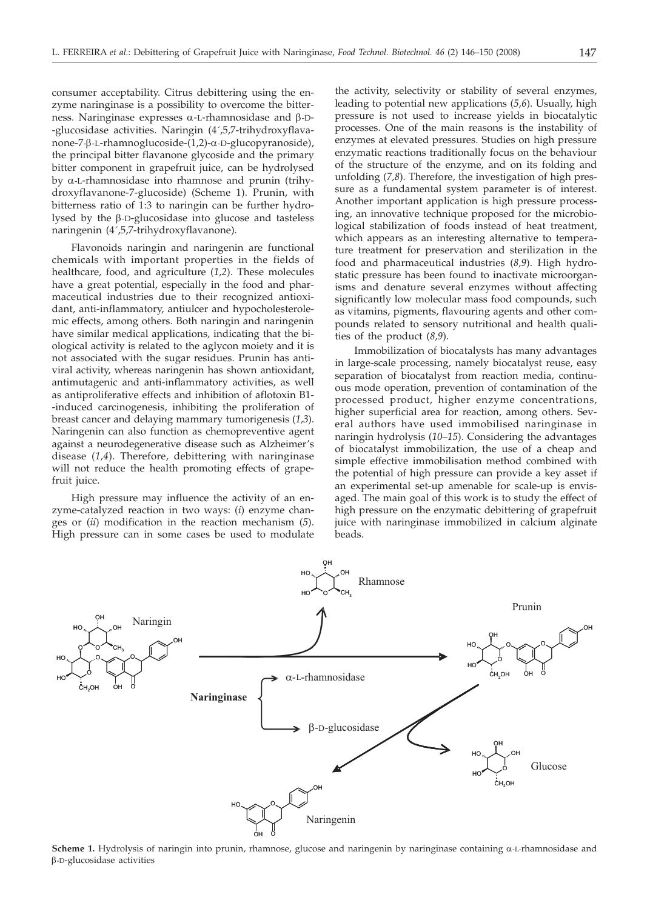consumer acceptability. Citrus debittering using the enzyme naringinase is a possibility to overcome the bitterness. Naringinase expresses  $\alpha$ -L-rhamnosidase and  $\beta$ -D--glucosidase activities. Naringin (4´,5,7-trihydroxyflavanone-7-b-L-rhamnoglucoside-(1,2)-a-D-glucopyranoside), the principal bitter flavanone glycoside and the primary bitter component in grapefruit juice, can be hydrolysed by  $\alpha$ -L-rhamnosidase into rhamnose and prunin (trihydroxyflavanone-7-glucoside) (Scheme 1). Prunin, with bitterness ratio of 1:3 to naringin can be further hydrolysed by the b-D-glucosidase into glucose and tasteless naringenin (4´,5,7-trihydroxyflavanone).

Flavonoids naringin and naringenin are functional chemicals with important properties in the fields of healthcare, food, and agriculture (*1,2*). These molecules have a great potential, especially in the food and pharmaceutical industries due to their recognized antioxidant, anti-inflammatory, antiulcer and hypocholesterolemic effects, among others. Both naringin and naringenin have similar medical applications, indicating that the biological activity is related to the aglycon moiety and it is not associated with the sugar residues. Prunin has antiviral activity, whereas naringenin has shown antioxidant, antimutagenic and anti-inflammatory activities, as well as antiproliferative effects and inhibition of aflotoxin B1- -induced carcinogenesis, inhibiting the proliferation of breast cancer and delaying mammary tumorigenesis (*1,3*). Naringenin can also function as chemopreventive agent against a neurodegenerative disease such as Alzheimer's disease (*1,4*). Therefore, debittering with naringinase will not reduce the health promoting effects of grapefruit juice.

High pressure may influence the activity of an enzyme-catalyzed reaction in two ways: (*i*) enzyme changes or (*ii*) modification in the reaction mechanism (*5*). High pressure can in some cases be used to modulate

the activity, selectivity or stability of several enzymes, leading to potential new applications (*5,6*). Usually, high pressure is not used to increase yields in biocatalytic processes. One of the main reasons is the instability of enzymes at elevated pressures. Studies on high pressure enzymatic reactions traditionally focus on the behaviour of the structure of the enzyme, and on its folding and unfolding (*7,8*). Therefore, the investigation of high pressure as a fundamental system parameter is of interest. Another important application is high pressure processing, an innovative technique proposed for the microbiological stabilization of foods instead of heat treatment, which appears as an interesting alternative to temperature treatment for preservation and sterilization in the food and pharmaceutical industries (*8,9*). High hydrostatic pressure has been found to inactivate microorganisms and denature several enzymes without affecting significantly low molecular mass food compounds, such as vitamins, pigments, flavouring agents and other compounds related to sensory nutritional and health qualities of the product (*8,9*).

Immobilization of biocatalysts has many advantages in large-scale processing, namely biocatalyst reuse, easy separation of biocatalyst from reaction media, continuous mode operation, prevention of contamination of the processed product, higher enzyme concentrations, higher superficial area for reaction, among others. Several authors have used immobilised naringinase in naringin hydrolysis (*10–15*). Considering the advantages of biocatalyst immobilization, the use of a cheap and simple effective immobilisation method combined with the potential of high pressure can provide a key asset if an experimental set-up amenable for scale-up is envisaged. The main goal of this work is to study the effect of high pressure on the enzymatic debittering of grapefruit juice with naringinase immobilized in calcium alginate beads.



**Scheme 1.** Hydrolysis of naringin into prunin, rhamnose, glucose and naringenin by naringinase containing  $\alpha$ -L-rhamnosidase and b-D-glucosidase activities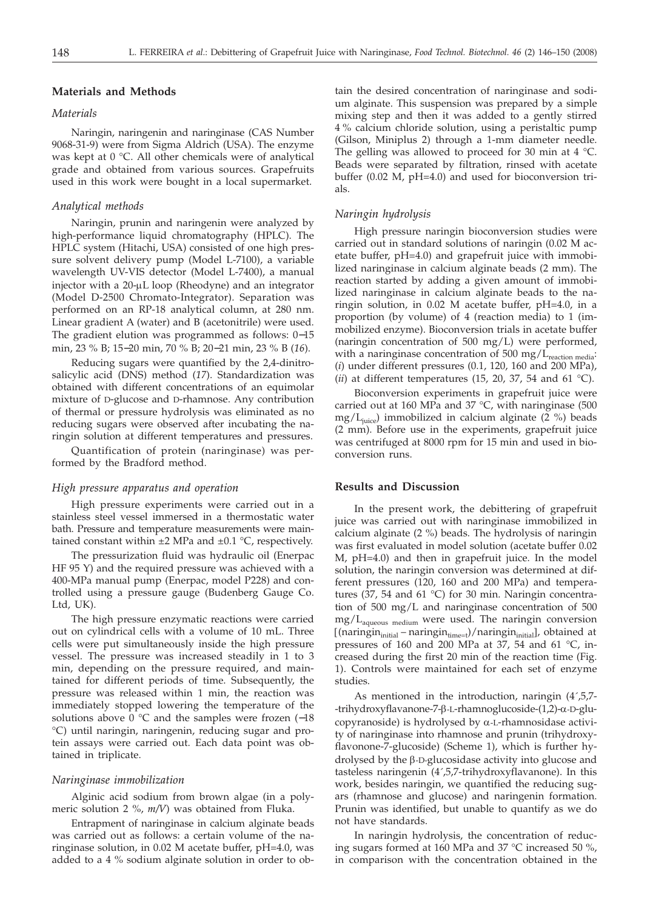## **Materials and Methods**

# *Materials*

Naringin, naringenin and naringinase (CAS Number 9068-31-9) were from Sigma Aldrich (USA). The enzyme was kept at 0 °C. All other chemicals were of analytical grade and obtained from various sources. Grapefruits used in this work were bought in a local supermarket.

#### *Analytical methods*

Naringin, prunin and naringenin were analyzed by high-performance liquid chromatography (HPLC). The HPLC system (Hitachi, USA) consisted of one high pressure solvent delivery pump (Model L-7100), a variable wavelength UV-VIS detector (Model L-7400), a manual injector with a  $20-\mu L$  loop (Rheodyne) and an integrator (Model D-2500 Chromato-Integrator). Separation was performed on an RP-18 analytical column, at 280 nm. Linear gradient A (water) and B (acetonitrile) were used. The gradient elution was programmed as follows: 0−15 min, 23 % B; 15−20 min, 70 % B; 20−21 min, 23 % B (*16*).

Reducing sugars were quantified by the 2,4-dinitrosalicylic acid (DNS) method (*17*). Standardization was obtained with different concentrations of an equimolar mixture of D-glucose and D-rhamnose. Any contribution of thermal or pressure hydrolysis was eliminated as no reducing sugars were observed after incubating the naringin solution at different temperatures and pressures.

Quantification of protein (naringinase) was performed by the Bradford method.

## *High pressure apparatus and operation*

High pressure experiments were carried out in a stainless steel vessel immersed in a thermostatic water bath. Pressure and temperature measurements were maintained constant within  $\pm 2$  MPa and  $\pm 0.1$  °C, respectively.

The pressurization fluid was hydraulic oil (Enerpac HF 95 Y) and the required pressure was achieved with a 400-MPa manual pump (Enerpac, model P228) and controlled using a pressure gauge (Budenberg Gauge Co. Ltd, UK).

The high pressure enzymatic reactions were carried out on cylindrical cells with a volume of 10 mL. Three cells were put simultaneously inside the high pressure vessel. The pressure was increased steadily in 1 to 3 min, depending on the pressure required, and maintained for different periods of time. Subsequently, the pressure was released within 1 min, the reaction was immediately stopped lowering the temperature of the solutions above 0 °C and the samples were frozen (-18 °C) until naringin, naringenin, reducing sugar and protein assays were carried out. Each data point was obtained in triplicate.

## *Naringinase immobilization*

Alginic acid sodium from brown algae (in a polymeric solution 2 %, *m/V*) was obtained from Fluka.

Entrapment of naringinase in calcium alginate beads was carried out as follows: a certain volume of the naringinase solution, in 0.02 M acetate buffer, pH=4.0, was added to a 4 % sodium alginate solution in order to obtain the desired concentration of naringinase and sodium alginate. This suspension was prepared by a simple mixing step and then it was added to a gently stirred 4 % calcium chloride solution, using a peristaltic pump (Gilson, Miniplus 2) through a 1-mm diameter needle. The gelling was allowed to proceed for 30 min at  $4 °C$ . Beads were separated by filtration, rinsed with acetate buffer (0.02 M, pH=4.0) and used for bioconversion trials.

## *Naringin hydrolysis*

High pressure naringin bioconversion studies were carried out in standard solutions of naringin (0.02 M acetate buffer, pH=4.0) and grapefruit juice with immobilized naringinase in calcium alginate beads (2 mm). The reaction started by adding a given amount of immobilized naringinase in calcium alginate beads to the naringin solution, in 0.02 M acetate buffer, pH=4.0, in a proportion (by volume) of 4 (reaction media) to 1 (immobilized enzyme). Bioconversion trials in acetate buffer (naringin concentration of 500 mg/L) were performed, with a naringinase concentration of 500 mg/L<sub>reaction media</sub>: (*i*) under different pressures (0.1, 120, 160 and 200 MPa), (*ii*) at different temperatures (15, 20, 37, 54 and 61 °C).

Bioconversion experiments in grapefruit juice were carried out at 160 MPa and 37 °C, with naringinase (500 mg/ $L_{\text{úice}}$ ) immobilized in calcium alginate (2 %) beads (2 mm). Before use in the experiments, grapefruit juice was centrifuged at 8000 rpm for 15 min and used in bioconversion runs.

## **Results and Discussion**

In the present work, the debittering of grapefruit juice was carried out with naringinase immobilized in calcium alginate (2 %) beads. The hydrolysis of naringin was first evaluated in model solution (acetate buffer 0.02 M, pH=4.0) and then in grapefruit juice. In the model solution, the naringin conversion was determined at different pressures (120, 160 and 200 MPa) and temperatures (37, 54 and 61 °C) for 30 min. Naringin concentration of 500 mg/L and naringinase concentration of 500 mg/Laqueous medium were used. The naringin conversion  $[(\text{naringin}_{initial} - \text{naringin}_{time=t})/\text{naringin}_{initial}]$ , obtained at pressures of 160 and 200 MPa at 37, 54 and 61  $^{\circ}$ C, increased during the first 20 min of the reaction time (Fig. 1). Controls were maintained for each set of enzyme studies.

As mentioned in the introduction, naringin (4´,5,7- -trihydroxyflavanone-7-b-L-rhamnoglucoside-(1,2)-a-D-glucopyranoside) is hydrolysed by  $\alpha$ -L-rhamnosidase activity of naringinase into rhamnose and prunin (trihydroxyflavonone-7-glucoside) (Scheme 1), which is further hydrolysed by the  $\beta$ -D-glucosidase activity into glucose and tasteless naringenin (4´,5,7-trihydroxyflavanone). In this work, besides naringin, we quantified the reducing sugars (rhamnose and glucose) and naringenin formation. Prunin was identified, but unable to quantify as we do not have standards.

In naringin hydrolysis, the concentration of reducing sugars formed at 160 MPa and 37 °C increased 50 %, in comparison with the concentration obtained in the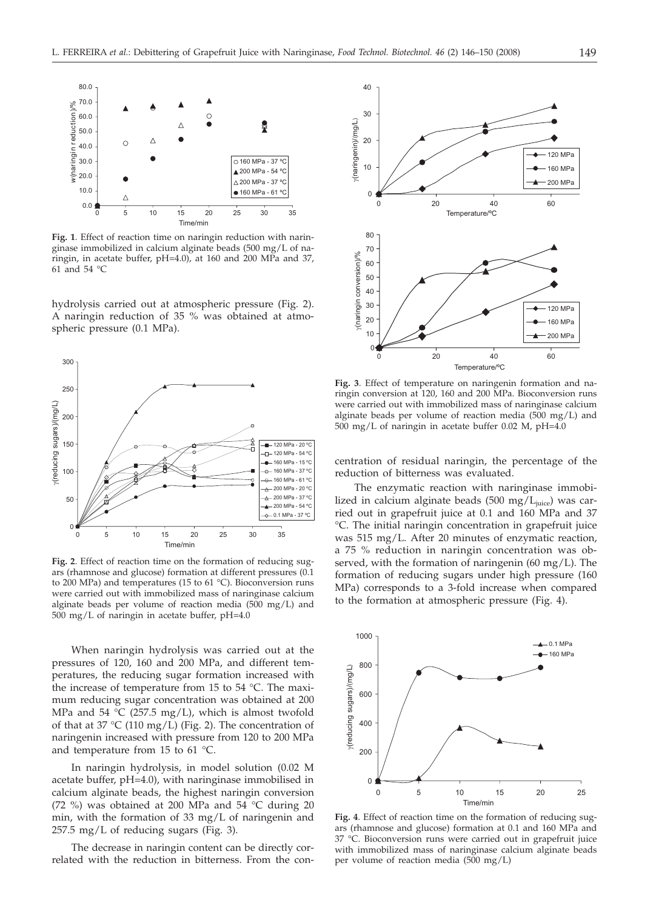

**Fig. 1**. Effect of reaction time on naringin reduction with naringinase immobilized in calcium alginate beads (500 mg/L of naringin, in acetate buffer, pH=4.0), at 160 and 200 MPa and 37, 61 and 54 °C

hydrolysis carried out at atmospheric pressure (Fig. 2). A naringin reduction of 35 % was obtained at atmospheric pressure (0.1 MPa).



**Fig. 2**. Effect of reaction time on the formation of reducing sugars (rhamnose and glucose) formation at different pressures (0.1 to 200 MPa) and temperatures (15 to 61 °C). Bioconversion runs were carried out with immobilized mass of naringinase calcium alginate beads per volume of reaction media (500 mg/L) and 500 mg/L of naringin in acetate buffer, pH=4.0

When naringin hydrolysis was carried out at the pressures of 120, 160 and 200 MPa, and different temperatures, the reducing sugar formation increased with the increase of temperature from 15 to 54 °C. The maximum reducing sugar concentration was obtained at 200 MPa and 54  $^{\circ}$ C (257.5 mg/L), which is almost twofold of that at 37 °C (110 mg/L) (Fig. 2). The concentration of naringenin increased with pressure from 120 to 200 MPa and temperature from 15 to 61 °C.

In naringin hydrolysis, in model solution (0.02 M acetate buffer, pH=4.0), with naringinase immobilised in calcium alginate beads, the highest naringin conversion (72 %) was obtained at 200 MPa and 54 °C during 20 min, with the formation of 33 mg/L of naringenin and 257.5 mg/L of reducing sugars (Fig. 3).

The decrease in naringin content can be directly correlated with the reduction in bitterness. From the con-



**Fig. 3**. Effect of temperature on naringenin formation and naringin conversion at 120, 160 and 200 MPa. Bioconversion runs were carried out with immobilized mass of naringinase calcium alginate beads per volume of reaction media  $(500 \text{ mg/L})$  and 500 mg/L of naringin in acetate buffer 0.02 M, pH=4.0

centration of residual naringin, the percentage of the reduction of bitterness was evaluated.

The enzymatic reaction with naringinase immobilized in calcium alginate beads (500 mg/ $L_{\text{iuice}}$ ) was carried out in grapefruit juice at 0.1 and 160 MPa and 37 °C. The initial naringin concentration in grapefruit juice was 515 mg/L. After 20 minutes of enzymatic reaction, a 75 % reduction in naringin concentration was observed, with the formation of naringenin  $(60 \text{ mg/L})$ . The formation of reducing sugars under high pressure (160 MPa) corresponds to a 3-fold increase when compared to the formation at atmospheric pressure (Fig. 4).



**Fig. 4**. Effect of reaction time on the formation of reducing sugars (rhamnose and glucose) formation at 0.1 and 160 MPa and 37 °C. Bioconversion runs were carried out in grapefruit juice with immobilized mass of naringinase calcium alginate beads per volume of reaction media (500 mg/L)